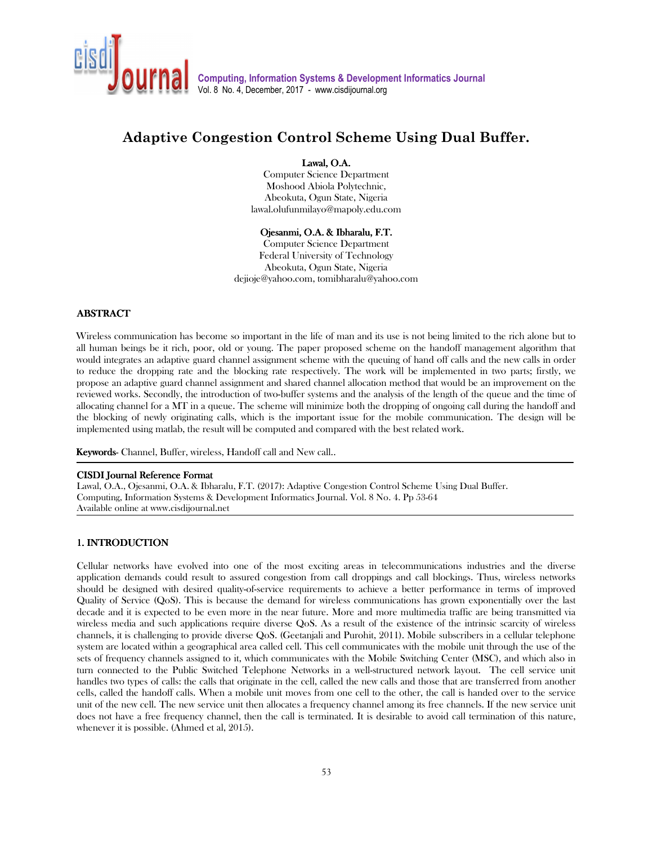

# **Adaptive Congestion Control Scheme Using Dual Buffer.**

# Lawal, O.A.

Computer Science Department Moshood Abiola Polytechnic, Abeokuta, Ogun State, Nigeria lawal.olufunmilayo@mapoly.edu.com

#### Ojesanmi, O.A. & Ibharalu, F.T.

Computer Science Department Federal University of Technology Abeokuta, Ogun State, Nigeria dejioje@yahoo.com, tomibharalu@yahoo.com

## **ABSTRACT**

Wireless communication has become so important in the life of man and its use is not being limited to the rich alone but to all human beings be it rich, poor, old or young. The paper proposed scheme on the handoff management algorithm that would integrates an adaptive guard channel assignment scheme with the queuing of hand off calls and the new calls in order to reduce the dropping rate and the blocking rate respectively. The work will be implemented in two parts; firstly, we propose an adaptive guard channel assignment and shared channel allocation method that would be an improvement on the reviewed works. Secondly, the introduction of two-buffer systems and the analysis of the length of the queue and the time of allocating channel for a MT in a queue. The scheme will minimize both the dropping of ongoing call during the handoff and the blocking of newly originating calls, which is the important issue for the mobile communication. The design will be implemented using matlab, the result will be computed and compared with the best related work.

Keywords- Channel, Buffer, wireless, Handoff call and New call..

### CISDI Journal Reference Format

Lawal, O.A., Ojesanmi, O.A. & Ibharalu, F.T. (2017): Adaptive Congestion Control Scheme Using Dual Buffer. Computing, Information Systems & Development Informatics Journal. Vol. 8 No. 4. Pp 53-64 Available online at www.cisdijournal.net

# 1. INTRODUCTION 1. INTRODUCTION

٦

j

Cellular networks have evolved into one of the most exciting areas in telecommunications industries and the diverse application demands could result to assured congestion from call droppings and call blockings. Thus, wireless networks should be designed with desired quality-of-service requirements to achieve a better performance in terms of improved Quality of Service (QoS). This is because the demand for wireless communications has grown exponentially over the last decade and it is expected to be even more in the near future. More and more multimedia traffic are being transmitted via wireless media and such applications require diverse QoS. As a result of the existence of the intrinsic scarcity of wireless channels, it is challenging to provide diverse QoS. (Geetanjali and Purohit, 2011). Mobile subscribers in a cellular telephone system are located within a geographical area called cell. This cell communicates with the mobile unit through the use of the sets of frequency channels assigned to it, which communicates with the Mobile Switching Center (MSC), and which also in turn connected to the Public Switched Telephone Networks in a well-structured network layout. The cell service unit handles two types of calls: the calls that originate in the cell, called the new calls and those that are transferred from another cells, called the handoff calls. When a mobile unit moves from one cell to the other, the call is handed over to the service unit of the new cell. The new service unit then allocates a frequency channel among its free channels. If the new service unit does not have a free frequency channel, then the call is terminated. It is desirable to avoid call termination of this nature, whenever it is possible. (Ahmed et al, 2015).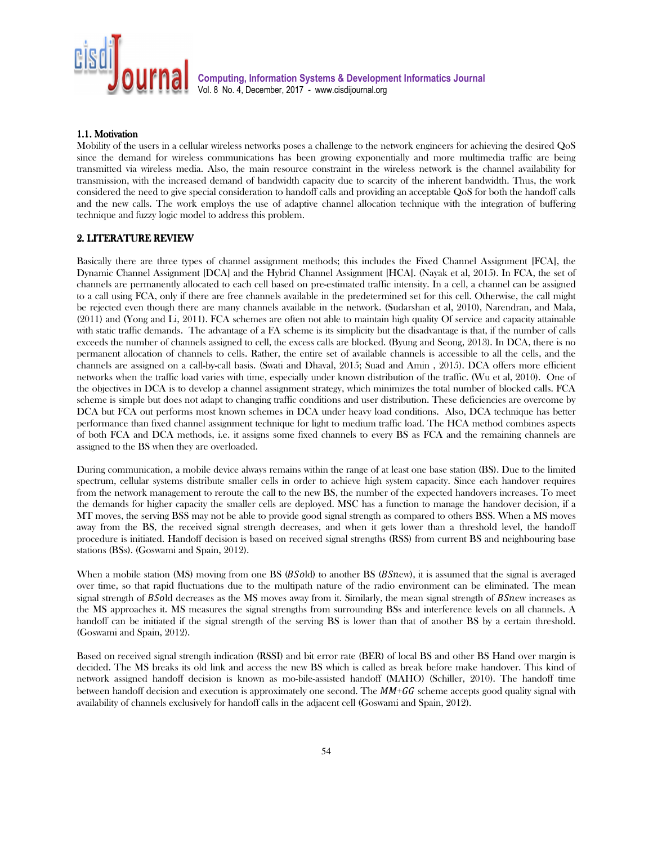

#### 1.1. Motivation 1.1. Motivation

Mobility of the users in a cellular wireless networks poses a challenge to the network engineers for achieving the desired QoS since the demand for wireless communications has been growing exponentially and more multimedia traffic are being transmitted via wireless media. Also, the main resource constraint in the wireless network is the channel availability for transmission, with the increased demand of bandwidth capacity due to scarcity of the inherent bandwidth. Thus, the work considered the need to give special consideration to handoff calls and providing an acceptable QoS for both the handoff calls and the new calls. The work employs the use of adaptive channel allocation technique with the integration of buffering technique and fuzzy logic model to address this problem.

### 2.LITERATURE REVIEW LITERATURE REVIEW LITERATURE REVIEW

Basically there are three types of channel assignment methods; this includes the Fixed Channel Assignment [FCA], the Dynamic Channel Assignment [DCA] and the Hybrid Channel Assignment [HCA]. (Nayak et al, 2015). In FCA, the set of channels are permanently allocated to each cell based on pre-estimated traffic intensity. In a cell, a channel can be assigned to a call using FCA, only if there are free channels available in the predetermined set for this cell. Otherwise, the call might be rejected even though there are many channels available in the network. (Sudarshan et al, 2010), Narendran, and Mala, (2011) and (Yong and Li, 2011). FCA schemes are often not able to maintain high quality Of service and capacity attainable with static traffic demands. The advantage of a FA scheme is its simplicity but the disadvantage is that, if the number of calls exceeds the number of channels assigned to cell, the excess calls are blocked. (Byung and Seong, 2013). In DCA, there is no permanent allocation of channels to cells. Rather, the entire set of available channels is accessible to all the cells, and the channels are assigned on a call-by-call basis. (Swati and Dhaval, 2015; Suad and Amin , 2015). DCA offers more efficient networks when the traffic load varies with time, especially under known distribution of the traffic. (Wu et al, 2010). One of the objectives in DCA is to develop a channel assignment strategy, which minimizes the total number of blocked calls. FCA scheme is simple but does not adapt to changing traffic conditions and user distribution. These deficiencies are overcome by DCA but FCA out performs most known schemes in DCA under heavy load conditions. Also, DCA technique has better performance than fixed channel assignment technique for light to medium traffic load. The HCA method combines aspects of both FCA and DCA methods, i.e. it assigns some fixed channels to every BS as FCA and the remaining channels are assigned to the BS when they are overloaded.

During communication, a mobile device always remains within the range of at least one base station (BS). Due to the limited spectrum, cellular systems distribute smaller cells in order to achieve high system capacity. Since each handover requires from the network management to reroute the call to the new BS, the number of the expected handovers increases. To meet the demands for higher capacity the smaller cells are deployed. MSC has a function to manage the handover decision, if a MT moves, the serving BSS may not be able to provide good signal strength as compared to others BSS. When a MS moves away from the BS, the received signal strength decreases, and when it gets lower than a threshold level, the handoff procedure is initiated. Handoff decision is based on received signal strengths (RSS) from current BS and neighbouring base stations (BSs). (Goswami and Spain, 2012).

When a mobile station (MS) moving from one BS ( $BSold$ ) to another BS ( $BSnew$ ), it is assumed that the signal is averaged over time, so that rapid fluctuations due to the multipath nature of the radio environment can be eliminated. The mean signal strength of BSold decreases as the MS moves away from it. Similarly, the mean signal strength of BS $n$ ew increases as the MS approaches it. MS measures the signal strengths from surrounding BSs and interference levels on all channels. A handoff can be initiated if the signal strength of the serving BS is lower than that of another BS by a certain threshold. (Goswami and Spain, 2012).

Based on received signal strength indication (RSSI) and bit error rate (BER) of local BS and other BS Hand over margin is decided. The MS breaks its old link and access the new BS which is called as break before make handover. This kind of network assigned handoff decision is known as mo-bile-assisted handoff (MAHO) (Schiller, 2010). The handoff time between handoff decision and execution is approximately one second. The  $MM+GG$  scheme accepts good quality signal with availability of channels exclusively for handoff calls in the adjacent cell (Goswami and Spain, 2012).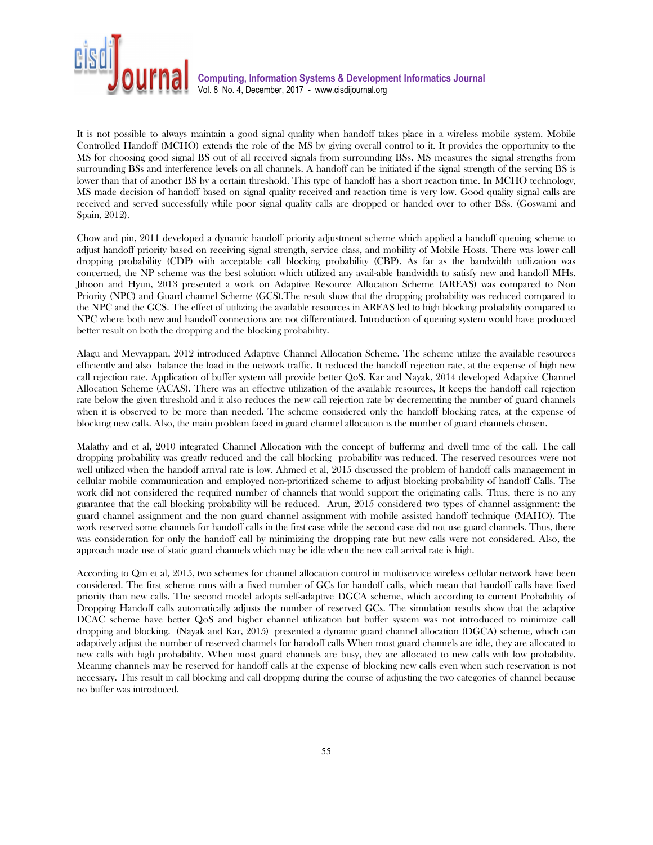

It is not possible to always maintain a good signal quality when handoff takes place in a wireless mobile system. Mobile Controlled Handoff (MCHO) extends the role of the MS by giving overall control to it. It provides the opportunity to the MS for choosing good signal BS out of all received signals from surrounding BSs. MS measures the signal strengths from surrounding BSs and interference levels on all channels. A handoff can be initiated if the signal strength of the serving BS is lower than that of another BS by a certain threshold. This type of handoff has a short reaction time. In MCHO technology, MS made decision of handoff based on signal quality received and reaction time is very low. Good quality signal calls are received and served successfully while poor signal quality calls are dropped or handed over to other BSs. (Goswami and Spain, 2012).

Chow and pin, 2011 developed a dynamic handoff priority adjustment scheme which applied a handoff queuing scheme to adjust handoff priority based on receiving signal strength, service class, and mobility of Mobile Hosts. There was lower call dropping probability (CDP) with acceptable call blocking probability (CBP). As far as the bandwidth utilization was concerned, the NP scheme was the best solution which utilized any avail-able bandwidth to satisfy new and handoff MHs. Jihoon and Hyun, 2013 presented a work on Adaptive Resource Allocation Scheme (AREAS) was compared to Non Priority (NPC) and Guard channel Scheme (GCS).The result show that the dropping probability was reduced compared to the NPC and the GCS. The effect of utilizing the available resources in AREAS led to high blocking probability compared to NPC where both new and handoff connections are not differentiated. Introduction of queuing system would have produced better result on both the dropping and the blocking probability.

Alagu and Meyyappan, 2012 introduced Adaptive Channel Allocation Scheme. The scheme utilize the available resources efficiently and also balance the load in the network traffic. It reduced the handoff rejection rate, at the expense of high new call rejection rate. Application of buffer system will provide better QoS. Kar and Nayak, 2014 developed Adaptive Channel Allocation Scheme (ACAS). There was an effective utilization of the available resources, It keeps the handoff call rejection rate below the given threshold and it also reduces the new call rejection rate by decrementing the number of guard channels when it is observed to be more than needed. The scheme considered only the handoff blocking rates, at the expense of blocking new calls. Also, the main problem faced in guard channel allocation is the number of guard channels chosen.

Malathy and et al, 2010 integrated Channel Allocation with the concept of buffering and dwell time of the call. The call dropping probability was greatly reduced and the call blocking probability was reduced. The reserved resources were not well utilized when the handoff arrival rate is low. Ahmed et al, 2015 discussed the problem of handoff calls management in cellular mobile communication and employed non-prioritized scheme to adjust blocking probability of handoff Calls. The work did not considered the required number of channels that would support the originating calls. Thus, there is no any guarantee that the call blocking probability will be reduced. Arun, 2015 considered two types of channel assignment: the guard channel assignment and the non guard channel assignment with mobile assisted handoff technique (MAHO). The work reserved some channels for handoff calls in the first case while the second case did not use guard channels. Thus, there was consideration for only the handoff call by minimizing the dropping rate but new calls were not considered. Also, the approach made use of static guard channels which may be idle when the new call arrival rate is high.

According to Qin et al, 2015, two schemes for channel allocation control in multiservice wireless cellular network have been considered. The first scheme runs with a fixed number of GCs for handoff calls, which mean that handoff calls have fixed priority than new calls. The second model adopts self-adaptive DGCA scheme, which according to current Probability of Dropping Handoff calls automatically adjusts the number of reserved GCs. The simulation results show that the adaptive DCAC scheme have better QoS and higher channel utilization but buffer system was not introduced to minimize call dropping and blocking. (Nayak and Kar, 2015) presented a dynamic guard channel allocation (DGCA) scheme, which can adaptively adjust the number of reserved channels for handoff calls When most guard channels are idle, they are allocated to new calls with high probability. When most guard channels are busy, they are allocated to new calls with low probability. Meaning channels may be reserved for handoff calls at the expense of blocking new calls even when such reservation is not necessary. This result in call blocking and call dropping during the course of adjusting the two categories of channel because no buffer was introduced.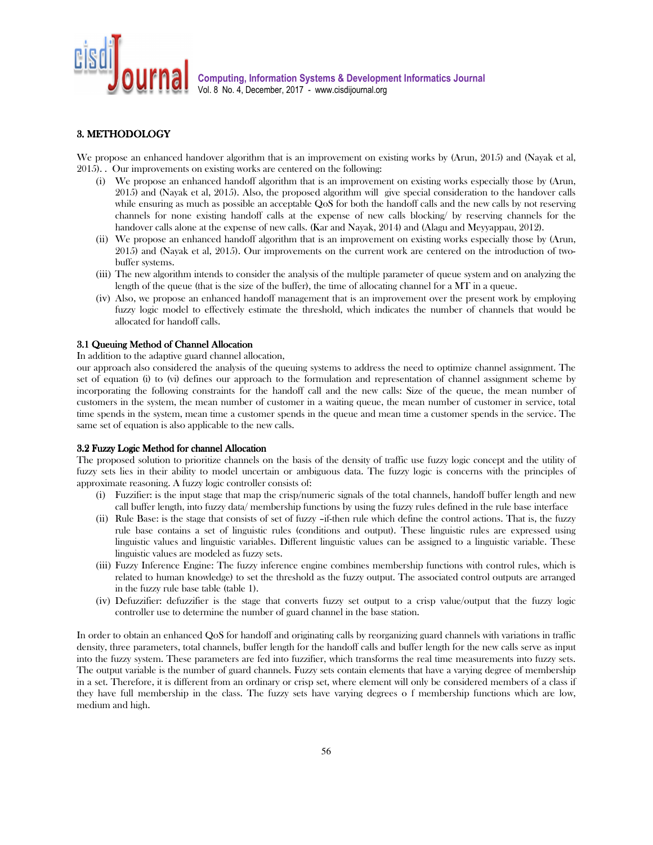

# 3. METHODOLOGY

We propose an enhanced handover algorithm that is an improvement on existing works by (Arun, 2015) and (Nayak et al, 2015). . Our improvements on existing works are centered on the following:

- (i) We propose an enhanced handoff algorithm that is an improvement on existing works especially those by (Arun, 2015) and (Nayak et al, 2015). Also, the proposed algorithm will give special consideration to the handover calls while ensuring as much as possible an acceptable QoS for both the handoff calls and the new calls by not reserving channels for none existing handoff calls at the expense of new calls blocking/ by reserving channels for the handover calls alone at the expense of new calls. (Kar and Nayak, 2014) and (Alagu and Meyyappau, 2012).
- (ii) We propose an enhanced handoff algorithm that is an improvement on existing works especially those by (Arun, 2015) and (Nayak et al, 2015). Our improvements on the current work are centered on the introduction of twobuffer systems.
- (iii) The new algorithm intends to consider the analysis of the multiple parameter of queue system and on analyzing the length of the queue (that is the size of the buffer), the time of allocating channel for a MT in a queue.
- (iv) Also, we propose an enhanced handoff management that is an improvement over the present work by employing fuzzy logic model to effectively estimate the threshold, which indicates the number of channels that would be allocated for handoff calls.

#### 3.1 Queuing Method of Channel Allocation

In addition to the adaptive guard channel allocation,

our approach also considered the analysis of the queuing systems to address the need to optimize channel assignment. The set of equation (i) to (vi) defines our approach to the formulation and representation of channel assignment scheme by incorporating the following constraints for the handoff call and the new calls: Size of the queue, the mean number of customers in the system, the mean number of customer in a waiting queue, the mean number of customer in service, total time spends in the system, mean time a customer spends in the queue and mean time a customer spends in the service. The same set of equation is also applicable to the new calls.

#### 3.2 Fuzzy Logic Method for channel Allocation

The proposed solution to prioritize channels on the basis of the density of traffic use fuzzy logic concept and the utility of fuzzy sets lies in their ability to model uncertain or ambiguous data. The fuzzy logic is concerns with the principles of approximate reasoning. A fuzzy logic controller consists of:

- (i) Fuzzifier: is the input stage that map the crisp/numeric signals of the total channels, handoff buffer length and new call buffer length, into fuzzy data/ membership functions by using the fuzzy rules defined in the rule base interface
- (ii) Rule Base: is the stage that consists of set of fuzzy –if-then rule which define the control actions. That is, the fuzzy rule base contains a set of linguistic rules (conditions and output). These linguistic rules are expressed using linguistic values and linguistic variables. Different linguistic values can be assigned to a linguistic variable. These linguistic values are modeled as fuzzy sets.
- (iii) Fuzzy Inference Engine: The fuzzy inference engine combines membership functions with control rules, which is related to human knowledge) to set the threshold as the fuzzy output. The associated control outputs are arranged in the fuzzy rule base table (table 1).
- (iv) Defuzzifier: defuzzifier is the stage that converts fuzzy set output to a crisp value/output that the fuzzy logic controller use to determine the number of guard channel in the base station.

In order to obtain an enhanced QoS for handoff and originating calls by reorganizing guard channels with variations in traffic density, three parameters, total channels, buffer length for the handoff calls and buffer length for the new calls serve as input into the fuzzy system. These parameters are fed into fuzzifier, which transforms the real time measurements into fuzzy sets. The output variable is the number of guard channels. Fuzzy sets contain elements that have a varying degree of membership in a set. Therefore, it is different from an ordinary or crisp set, where element will only be considered members of a class if they have full membership in the class. The fuzzy sets have varying degrees o f membership functions which are low, medium and high.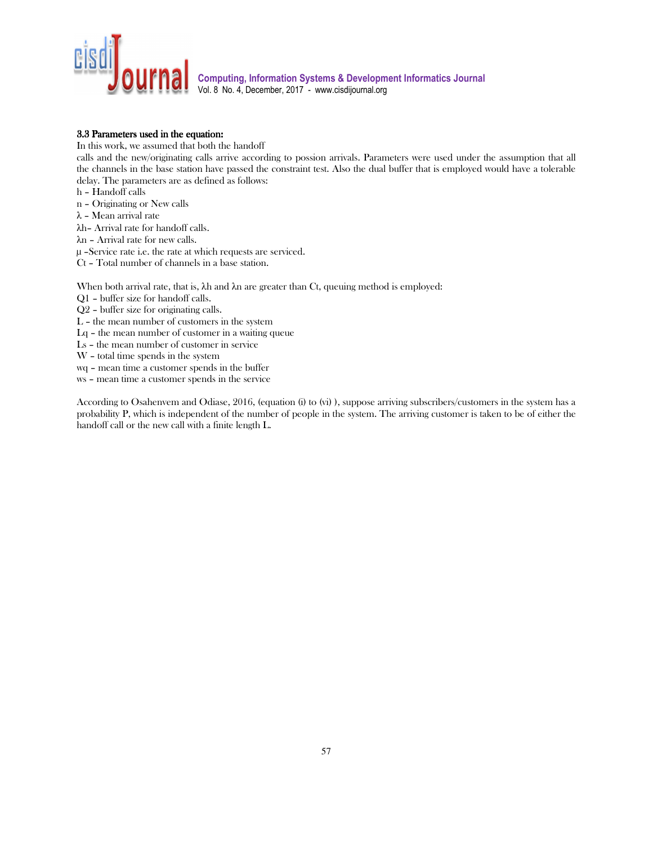

### 3.3 Parameters used in the equation:

In this work, we assumed that both the handoff

calls and the new/originating calls arrive according to possion arrivals. Parameters were used under the assumption that all the channels in the base station have passed the constraint test. Also the dual buffer that is employed would have a tolerable delay. The parameters are as defined as follows:

h – Handoff calls

n – Originating or New calls

λ – Mean arrival rate

λh– Arrival rate for handoff calls.

λn – Arrival rate for new calls.

µ –Service rate i.e. the rate at which requests are serviced.

Ct – Total number of channels in a base station.

When both arrival rate, that is, λh and λn are greater than Ct, queuing method is employed:

Q1 – buffer size for handoff calls.

Q2 – buffer size for originating calls.

L – the mean number of customers in the system

Lq – the mean number of customer in a waiting queue

Ls – the mean number of customer in service

W – total time spends in the system

wq – mean time a customer spends in the buffer

ws – mean time a customer spends in the service

According to Osahenvem and Odiase, 2016, (equation (i) to (vi) ), suppose arriving subscribers/customers in the system has a probability P, which is independent of the number of people in the system. The arriving customer is taken to be of either the handoff call or the new call with a finite length L.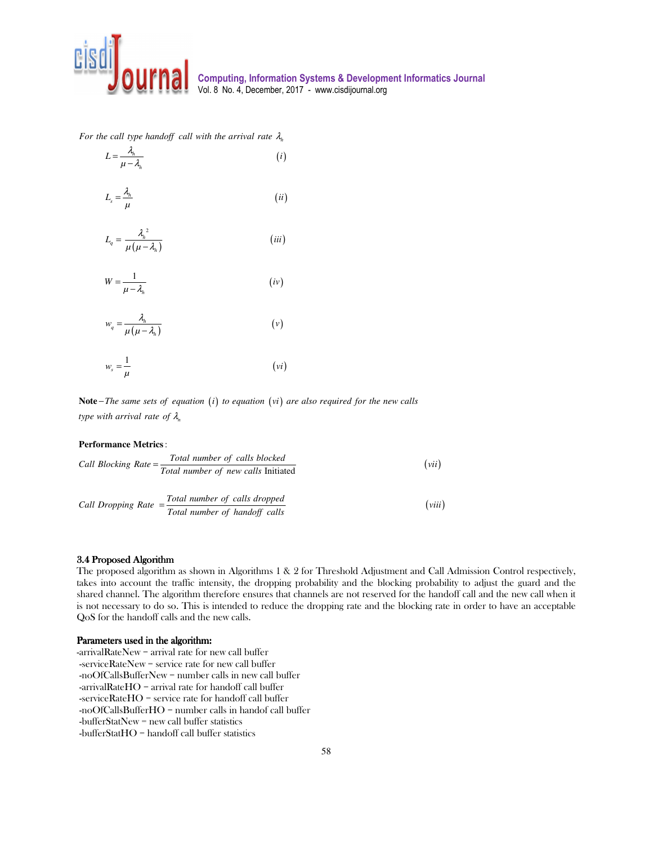

*h For the call type handoff call with the arrival rate* λ

$$
L = \frac{\lambda_h}{\mu - \lambda_h}
$$
 (*i*)  

$$
L_s = \frac{\lambda_h}{\mu}
$$
 (*ii*)

$$
L_q = \frac{\lambda_h^2}{\mu(\mu - \lambda_h)}
$$
 (iii)

$$
W = \frac{1}{\mu - \lambda_h} \tag{iv}
$$

$$
w_q = \frac{\lambda_h}{\mu(\mu - \lambda_h)}
$$
 (v)

$$
w_s = \frac{1}{\mu} \tag{vi}
$$

**Note**–*The same sets of equation* (*i*) to equation (*vi*) are also required for the new calls *n type with arrival rate of* λ

### : **Performance Metrics**

Call Blocking Rate = 
$$
\frac{\text{Total number of calls blocked}}{\text{Total number of new calls Initial}}
$$
 (vii)

\nCall Dropping Rate =  $\frac{\text{Total number of calls dropped}}{\text{Total number of handoff calls}}$  (viii)

#### 3.4 Proposed Algorithm

The proposed algorithm as shown in Algorithms 1 & 2 for Threshold Adjustment and Call Admission Control respectively, takes into account the traffic intensity, the dropping probability and the blocking probability to adjust the guard and the shared channel. The algorithm therefore ensures that channels are not reserved for the handoff call and the new call when it is not necessary to do so. This is intended to reduce the dropping rate and the blocking rate in order to have an acceptable QoS for the handoff calls and the new calls.

## Parameters used in the algorithm:

-arrivalRateNew = arrival rate for new call buffer -serviceRateNew = service rate for new call buffer -noOfCallsBufferNew = number calls in new call buffer -arrivalRateHO = arrival rate for handoff call buffer -serviceRateHO = service rate for handoff call buffer -noOfCallsBufferHO = number calls in handof call buffer -bufferStatNew = new call buffer statistics -bufferStatHO = handoff call buffer statistics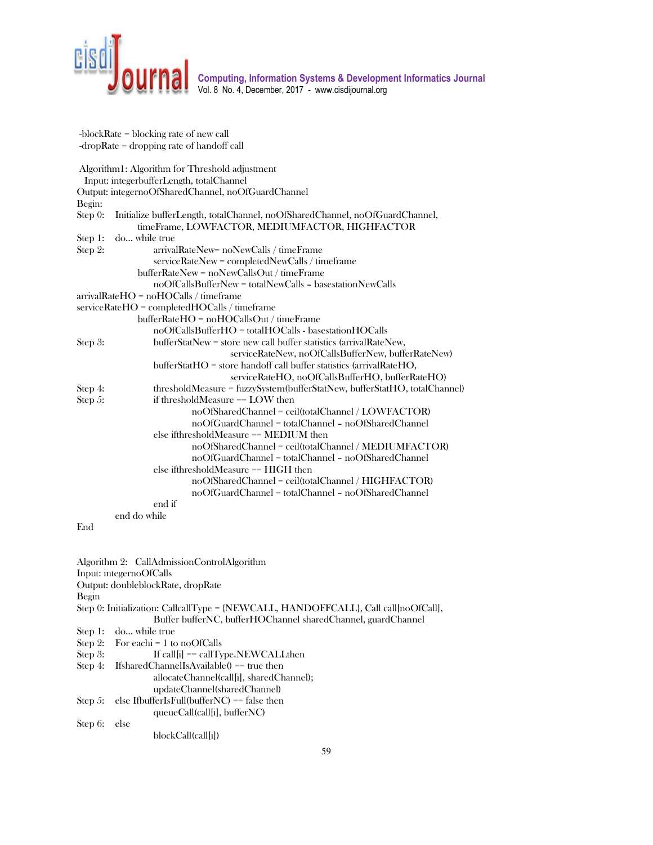

 -blockRate = blocking rate of new call -dropRate = dropping rate of handoff call Algorithm1: Algorithm for Threshold adjustment Input: integerbufferLength, totalChannel Output: integernoOfSharedChannel, noOfGuardChannel Begin: Step 0: Initialize bufferLength, totalChannel, noOfSharedChannel, noOfGuardChannel, timeFrame, LOWFACTOR, MEDIUMFACTOR, HIGHFACTOR Step 1: do… while true Step 2: arrivalRateNew= noNewCalls / timeFrame serviceRateNew = completedNewCalls / timeframe bufferRateNew = noNewCallsOut / timeFrame noOfCallsBufferNew = totalNewCalls – basestationNewCalls arrivalRateHO = noHOCalls / timeframe serviceRateHO = completedHOCalls / timeframe bufferRateHO = noHOCallsOut / timeFrame noOfCallsBufferHO = totalHOCalls - basestationHOCalls Step 3: bufferStatNew = store new call buffer statistics (arrivalRateNew, serviceRateNew, noOfCallsBufferNew, bufferRateNew) bufferStatHO = store handoff call buffer statistics (arrivalRateHO, serviceRateHO, noOfCallsBufferHO, bufferRateHO) Step 4: thresholdMeasure = fuzzySystem(bufferStatNew, bufferStatHO, totalChannel) Step 5: if thresholdMeasure == LOW then noOfSharedChannel = ceil(totalChannel / LOWFACTOR) noOfGuardChannel = totalChannel – noOfSharedChannel else ifthresholdMeasure == MEDIUM then noOfSharedChannel = ceil(totalChannel / MEDIUMFACTOR) noOfGuardChannel = totalChannel – noOfSharedChannel else ifthresholdMeasure == HIGH then noOfSharedChannel = ceil(totalChannel / HIGHFACTOR) noOfGuardChannel = totalChannel – noOfSharedChannel end if end do while End

Algorithm 2: CallAdmissionControlAlgorithm Input: integernoOfCalls Output: doubleblockRate, dropRate Begin Step 0: Initialization: CallcallType = {NEWCALL, HANDOFFCALL}, Call call[noOfCall], Buffer bufferNC, bufferHOChannel sharedChannel, guardChannel Step 1: do… while true Step 2: For eachi = 1 to noOfCalls Step 3: If call[i] == callType.NEWCALLthen Step 4: IfsharedChannelIsAvailable() == true then allocateChannel(call[i], sharedChannel); updateChannel(sharedChannel) Step 5: else IfbufferIsFull(bufferNC) == false then queueCall(call[i], bufferNC) Step 6: else blockCall(call[i])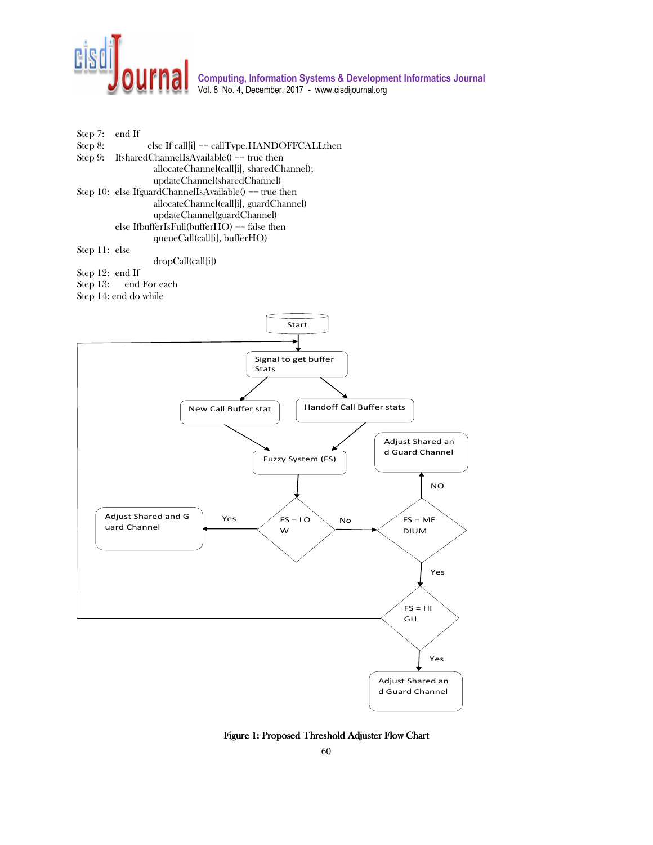



dropCall(call[i])

Step 12: end If Step 13: end For each

Step 14: end do while



Figure 1: Proposed Threshold Adjuster Flow Chart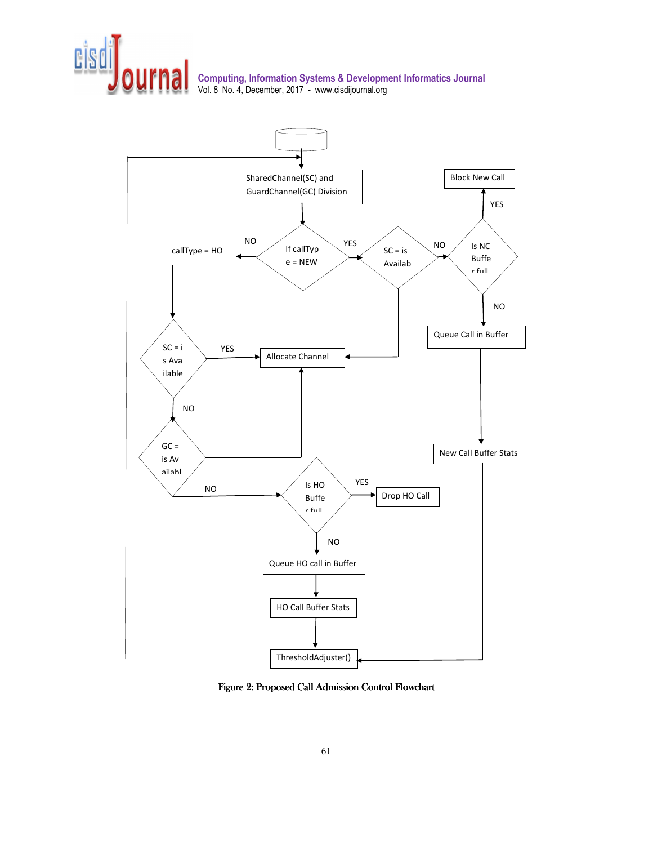



Figure 2: Proposed Call Admission Control Flowchart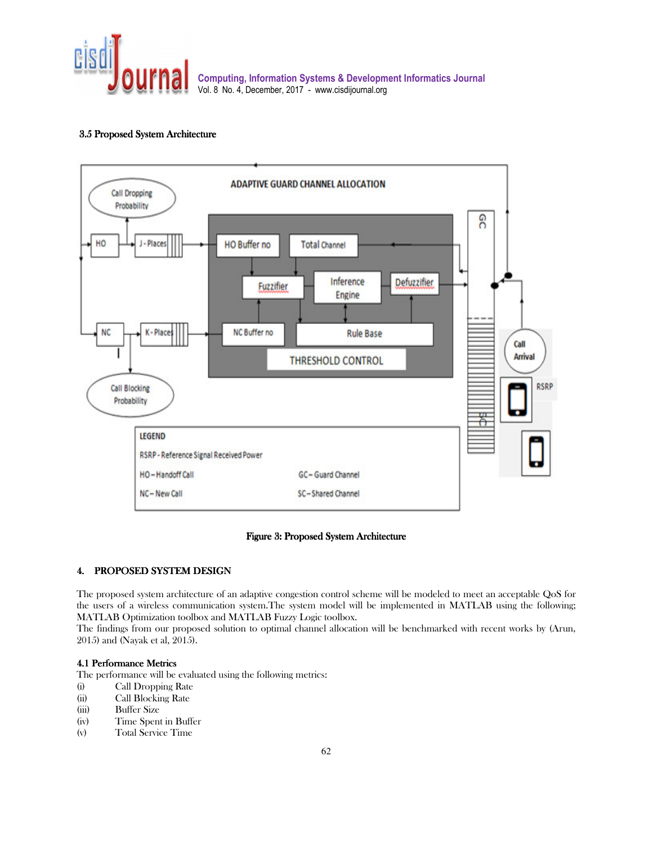

## 3.5 Proposed System Architecture



# Figure 3: Proposed System Architecture

## 4. PROPOSED SYSTEM DESIGN

The proposed system architecture of an adaptive congestion control scheme will be modeled to meet an acceptable QoS for the users of a wireless communication system.The system model will be implemented in MATLAB using the following; MATLAB Optimization toolbox and MATLAB Fuzzy Logic toolbox.

The findings from our proposed solution to optimal channel allocation will be benchmarked with recent works by (Arun, 2015) and (Nayak et al, 2015).

## 4.1 Performance Metrics

The performance will be evaluated using the following metrics:

- (i) Call Dropping Rate
- (ii) Call Blocking Rate
- (iii) Buffer Size
- (iv) Time Spent in Buffer
- (v) Total Service Time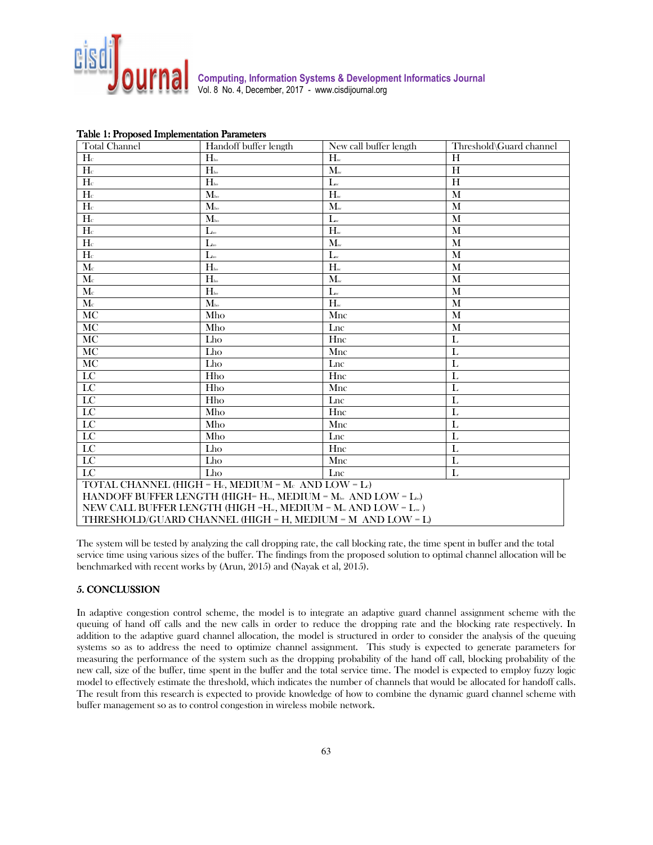

| $\mathbf{r}$<br><b>Total Channel</b>                                                                 | Handoff buffer length | New call buffer length         | Threshold\Guard channel |  |  |
|------------------------------------------------------------------------------------------------------|-----------------------|--------------------------------|-------------------------|--|--|
| H <sub>c</sub>                                                                                       | $H_{\text{ho}}$       | $H_{\text{nc}}$                | H                       |  |  |
| $H_c$                                                                                                | $H_{\rm ho}$          | $\mathbf{M}_{\text{\tiny nc}}$ | H                       |  |  |
| $H_c$                                                                                                | $H_{\rm ho}$          | $L_{nc}$                       | H                       |  |  |
| $\overline{H_c}$                                                                                     | $M_{\rm{ho}}$         | $H_{\text{nc}}$                | M                       |  |  |
| H <sub>c</sub>                                                                                       | $M_{\rm ho}$          | $M_{\textrm{\tiny nc}}$        | M                       |  |  |
| $\mathbf{H}\mathrm{c}$                                                                               | $M_{\rm ho}$          | $L_{nc}$                       | M                       |  |  |
| $H_c$                                                                                                | $L_{\text{ho}}$       | $H_{nc}$                       | M                       |  |  |
| H <sub>c</sub>                                                                                       | $L_{\rm ho}$          | $M_{\text{nc}}$                | M                       |  |  |
| $H_c$                                                                                                | $L_{\rm ho}$          | $\mathbf{L}$ <sub>nc</sub>     | M                       |  |  |
| $\overline{\mathbf{M}}$ c                                                                            | $H_{\rm ho}$          | $\overline{H_{nc}}$            | M                       |  |  |
| $M_c$                                                                                                | $H_{\rm ho}$          | $\mathbf{M}_{\text{\tiny nc}}$ | M                       |  |  |
| $\mathbf{M}\mathrm{c}$                                                                               | $H_{\mbox{\tiny ho}}$ | $L_{nc}$                       | M                       |  |  |
| $\mathbf{M}{}$                                                                                       | $M_{h}$               | $\overline{H_{nc}}$            | M                       |  |  |
| MC                                                                                                   | Mho                   | Mnc                            | M                       |  |  |
| MC                                                                                                   | Mho                   | Lnc                            | M                       |  |  |
| MC                                                                                                   | Lho                   | Hnc                            | L                       |  |  |
| MC                                                                                                   | Lho                   | Mnc                            | L                       |  |  |
| $\overline{MC}$                                                                                      | Lho                   | Lnc                            | L                       |  |  |
| LC                                                                                                   | Hho                   | Hnc                            | $\mathbf{L}$            |  |  |
| $\overline{LC}$                                                                                      | Hho                   | Mnc                            | L                       |  |  |
| $\overline{LC}$                                                                                      | Hho                   | Lnc                            | L                       |  |  |
| $\overline{LC}$                                                                                      | Mho                   | Hnc                            | $\mathbf{L}$            |  |  |
| $\overline{LC}$                                                                                      | Mho                   | Mnc                            | L                       |  |  |
| $\overline{LC}$                                                                                      | Mho                   | Lnc                            | L                       |  |  |
| LC                                                                                                   | Lho                   | Hnc                            | L                       |  |  |
| $\overline{LC}$                                                                                      | Lho                   | Mnc                            | L                       |  |  |
| $\overline{LC}$                                                                                      | Lho                   | Lnc                            | L                       |  |  |
| TOTAL CHANNEL (HIGH = Hc, MEDIUM = $M_c$ AND LOW = Lc)                                               |                       |                                |                         |  |  |
| HANDOFF BUFFER LENGTH (HIGH= $H_{\text{ho}}$ , MEDIUM = $M_{\text{ho}}$ AND LOW = $L_{\text{ho}}$ )  |                       |                                |                         |  |  |
| NEW CALL BUFFER LENGTH (HIGH =H <sub>xv</sub> , MEDIUM = $M_{\text{ax}}$ AND LOW = $L_{\text{ax}}$ ) |                       |                                |                         |  |  |
| THRESHOLD/GUARD CHANNEL (HIGH = H, MEDIUM = M AND LOW = L)                                           |                       |                                |                         |  |  |

|  |  | Table 1: Proposed Implementation Parameters |  |
|--|--|---------------------------------------------|--|
|--|--|---------------------------------------------|--|

The system will be tested by analyzing the call dropping rate, the call blocking rate, the time spent in buffer and the total service time using various sizes of the buffer. The findings from the proposed solution to optimal channel allocation will be benchmarked with recent works by (Arun, 2015) and (Nayak et al, 2015).

# 5. CONCLUSSION 5. CONCLUSSION

In adaptive congestion control scheme, the model is to integrate an adaptive guard channel assignment scheme with the queuing of hand off calls and the new calls in order to reduce the dropping rate and the blocking rate respectively. In addition to the adaptive guard channel allocation, the model is structured in order to consider the analysis of the queuing systems so as to address the need to optimize channel assignment. This study is expected to generate parameters for measuring the performance of the system such as the dropping probability of the hand off call, blocking probability of the new call, size of the buffer, time spent in the buffer and the total service time. The model is expected to employ fuzzy logic model to effectively estimate the threshold, which indicates the number of channels that would be allocated for handoff calls. The result from this research is expected to provide knowledge of how to combine the dynamic guard channel scheme with buffer management so as to control congestion in wireless mobile network.